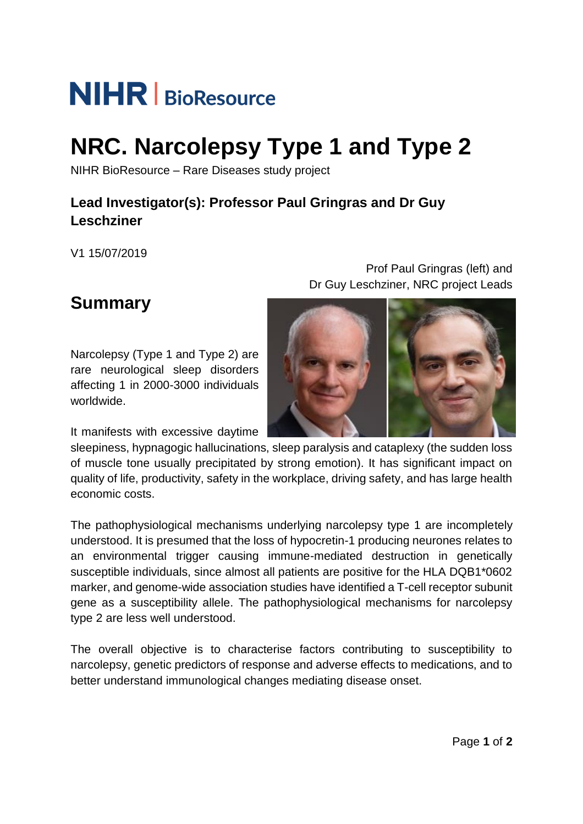# **NIHR** BioResource

## **NRC. Narcolepsy Type 1 and Type 2**

NIHR BioResource – Rare Diseases study project

#### **Lead Investigator(s): Professor Paul Gringras and Dr Guy Leschziner**

V1 15/07/2019

### **Summary**

Narcolepsy (Type 1 and Type 2) are rare neurological sleep disorders affecting 1 in 2000-3000 individuals worldwide.

It manifests with excessive daytime

sleepiness, hypnagogic hallucinations, sleep paralysis and cataplexy (the sudden loss of muscle tone usually precipitated by strong emotion). It has significant impact on quality of life, productivity, safety in the workplace, driving safety, and has large health economic costs.

The pathophysiological mechanisms underlying narcolepsy type 1 are incompletely understood. It is presumed that the loss of hypocretin-1 producing neurones relates to an environmental trigger causing immune-mediated destruction in genetically susceptible individuals, since almost all patients are positive for the HLA DQB1\*0602 marker, and genome-wide association studies have identified a T-cell receptor subunit gene as a susceptibility allele. The pathophysiological mechanisms for narcolepsy type 2 are less well understood.

The overall objective is to characterise factors contributing to susceptibility to narcolepsy, genetic predictors of response and adverse effects to medications, and to better understand immunological changes mediating disease onset.

Prof Paul Gringras (left) and Dr Guy Leschziner, NRC project Leads